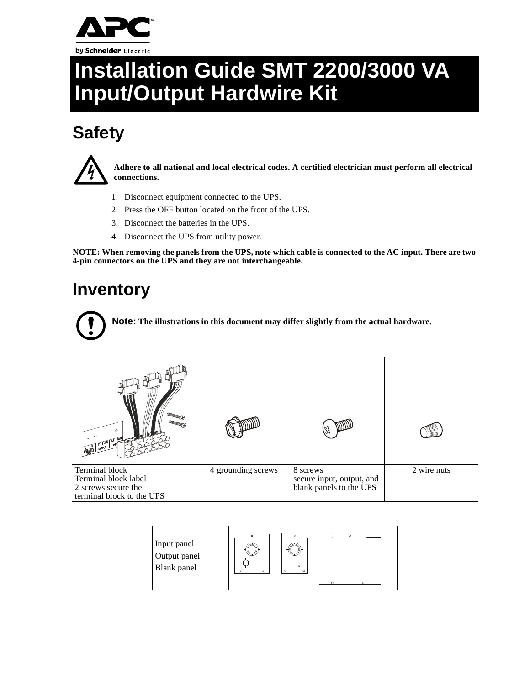

# **Installation Guide SMT 2200/3000 VA Input/Output Hardwire Kit**

## **Safety**



**Adhere to all national and local electrical codes. A certified electrician must perform all electrical connections.**

- 1. Disconnect equipment connected to the UPS.
- 2. Press the OFF button located on the front of the UPS.
- 3. Disconnect the batteries in the UPS.
- 4. Disconnect the UPS from utility power.

**NOTE: When removing the panels from the UPS, note which cable is connected to the AC input. There are two 4-pin connectors on the UPS and they are not interchangeable.**

#### **Inventory**

**Note: The illustrations in this document may differ slightly from the actual hardware.**

| Terminal block<br>Terminal block label<br>2 screws secure the<br>terminal block to the UPS | 4 grounding screws | 8 screws<br>secure input, output, and<br>blank panels to the UPS | 2 wire nuts |
|--------------------------------------------------------------------------------------------|--------------------|------------------------------------------------------------------|-------------|

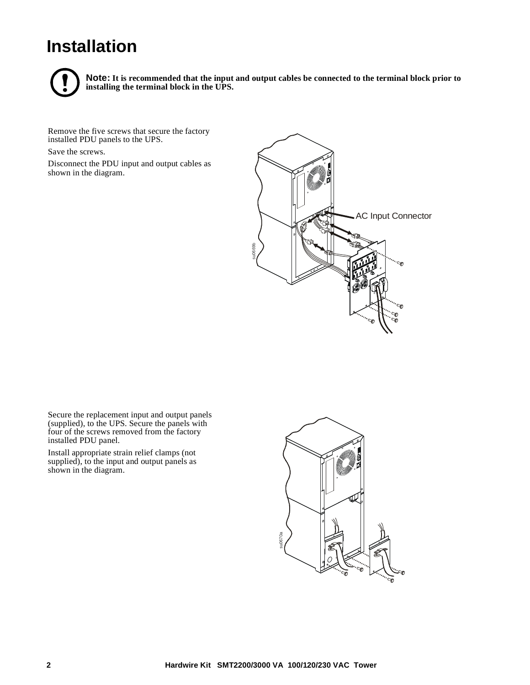### **Installation**



**Note: It is recommended that the input and output cables be connected to the terminal block prior to installing the terminal block in the UPS.**

Remove the five screws that secure the factory installed PDU panels to the UPS.

Save the screws.

Disconnect the PDU input and output cables as shown in the diagram.



Secure the replacement input and output panels (supplied), to the UPS. Secure the panels with four of the screws removed from the factory installed PDU panel.

Install appropriate strain relief clamps (not supplied), to the input and output panels as shown in the diagram.

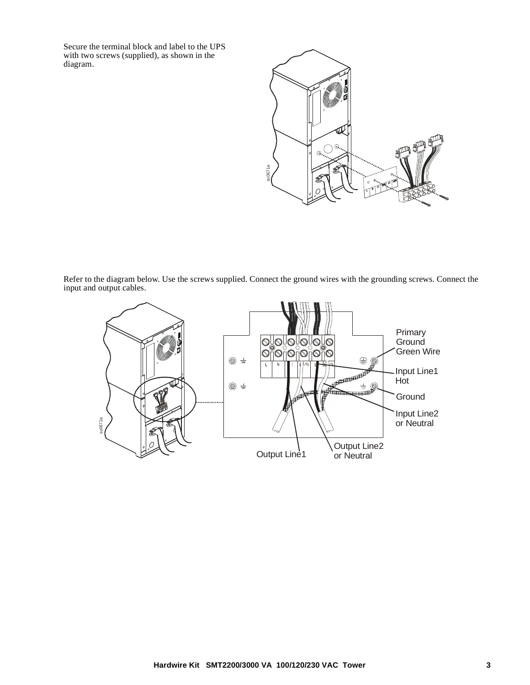Secure the terminal block and label to the UPS with two screws (supplied), as shown in the diagram.



Refer to the diagram below. Use the screws supplied. Connect the ground wires with the grounding screws. Connect the input and output cables.

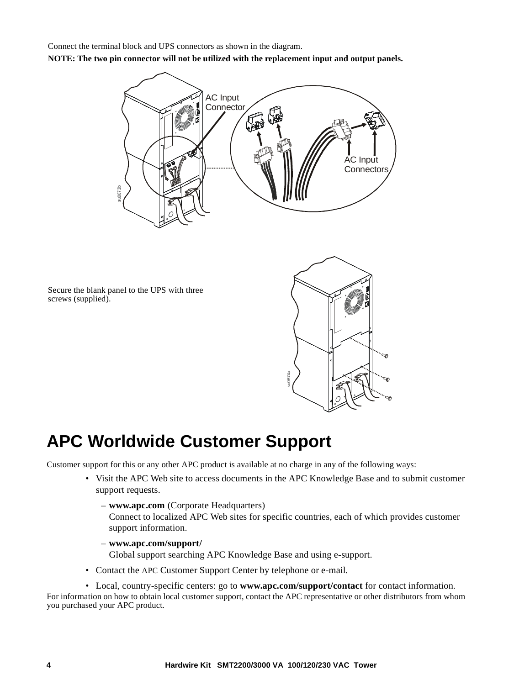Connect the terminal block and UPS connectors as shown in the diagram.

**NOTE: The two pin connector will not be utilized with the replacement input and output panels.**



Secure the blank panel to the UPS with three screws (supplied).



#### **APC Worldwide Customer Support**

Customer support for this or any other APC product is available at no charge in any of the following ways:

- Visit the APC Web site to access documents in the APC Knowledge Base and to submit customer support requests.
	- **www.apc.com** (Corporate Headquarters)

Connect to localized APC Web sites for specific countries, each of which provides customer support information.

– **www.apc.com/support/**

Global support searching APC Knowledge Base and using e-support.

• Contact the APC Customer Support Center by telephone or e-mail.

• Local, country-specific centers: go to **www.apc.com/support/contact** for contact information. For information on how to obtain local customer support, contact the APC representative or other distributors from whom you purchased your APC product.